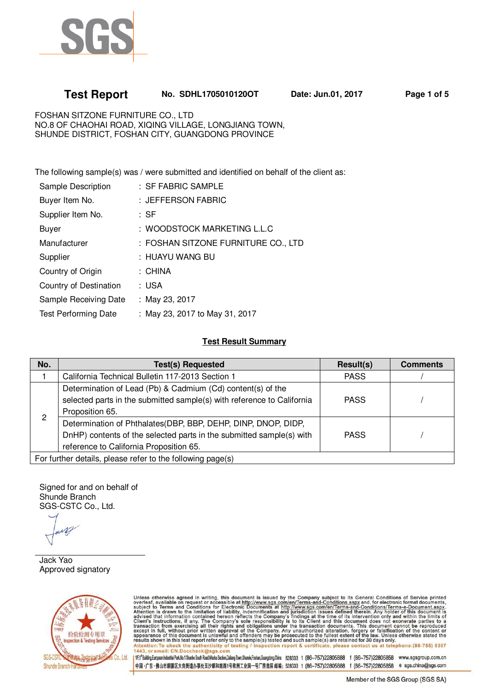

# **Test Report No. SDHL1705010120OT Date: Jun.01, 2017 Page 1 of 5**

FOSHAN SITZONE FURNITURE CO., LTD NO.8 OF CHAOHAI ROAD, XIQING VILLAGE, LONGJIANG TOWN, SHUNDE DISTRICT, FOSHAN CITY, GUANGDONG PROVINCE

The following sample(s) was / were submitted and identified on behalf of the client as:

| Sample Description          | : SF FABRIC SAMPLE                  |
|-----------------------------|-------------------------------------|
| Buyer Item No.              | : JEFFERSON FABRIC                  |
| Supplier Item No.           | : SF                                |
| <b>Buyer</b>                | : WOODSTOCK MARKETING L.L.C         |
| Manufacturer                | : FOSHAN SITZONE FURNITURE CO., LTD |
| Supplier                    | : HUAYU WANG BU                     |
| Country of Origin           | : CHINA                             |
| Country of Destination      | : USA                               |
| Sample Receiving Date       | : May 23, 2017                      |
| <b>Test Performing Date</b> | : May 23, 2017 to May 31, 2017      |

### **Test Result Summary**

| No.                                                        | <b>Test(s) Requested</b>                                               | Result(s)   | <b>Comments</b> |  |
|------------------------------------------------------------|------------------------------------------------------------------------|-------------|-----------------|--|
|                                                            | California Technical Bulletin 117-2013 Section 1                       | <b>PASS</b> |                 |  |
|                                                            | Determination of Lead (Pb) & Cadmium (Cd) content(s) of the            |             |                 |  |
|                                                            | selected parts in the submitted sample(s) with reference to California | <b>PASS</b> |                 |  |
|                                                            | Proposition 65.                                                        |             |                 |  |
| 2                                                          | Determination of Phthalates(DBP, BBP, DEHP, DINP, DNOP, DIDP,          |             |                 |  |
|                                                            | DnHP) contents of the selected parts in the submitted sample(s) with   | <b>PASS</b> |                 |  |
|                                                            | reference to California Proposition 65.                                |             |                 |  |
| For further details, please refer to the following page(s) |                                                                        |             |                 |  |

Signed for and on behalf of Shunde Branch SGS-CSTC Co., Ltd.

Jack Yao Approved signatory



Unless otherwise agreed in writing, this document is issued by the Company subject to its General Conditions of Service printed overleaf, available on request or accessible at http://www.sgs.com/en/Terms-and-Conditions.as

1F;1<sup>6</sup> Building.European Industrial Park, No.1 Shunhe South Road, Wusha Sedion, Dalang Town, Shunde, Foshan, Guangdong, China 528333 t (86-757)22805858 f (86-757)22805858 www.sgsgroup.com.cn 中国·广东·佛山市顺德区大良街道办事处五沙顺和南路1号欧洲工业园一号厂房首层 邮编: 528333 t (86-757)22805888 f (86-757)22805858 e sgs.china@sgs.com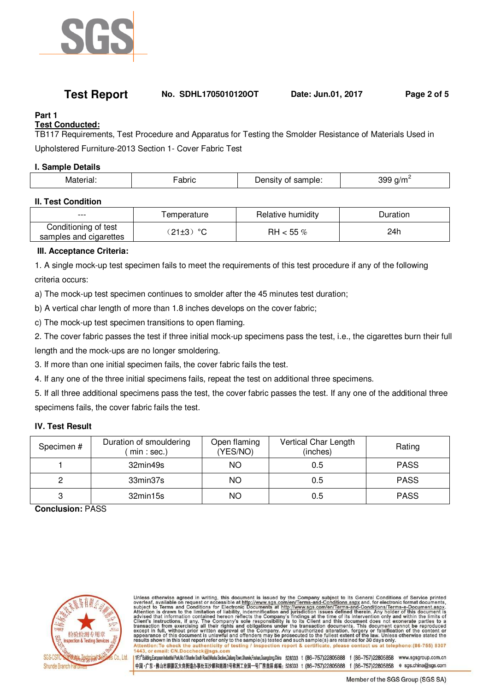

## **Test Report No. SDHL1705010120OT Date: Jun.01, 2017 Page 2 of 5**

# **Part 1**

**Test Conducted:** 

TB117 Requirements, Test Procedure and Apparatus for Testing the Smolder Resistance of Materials Used in

Upholstered Furniture-2013 Section 1- Cover Fabric Test

### **I. Sample Details**

| -----<br>NЛ | .<br>атн<br>--- - | .<br>n⊫<br>____ | oc<br>-<br>-17<br>. . |
|-------------|-------------------|-----------------|-----------------------|
|             |                   |                 |                       |

### **II. Test Condition**

| $--$                                           | l emperature     | Relative humidity | Duration |
|------------------------------------------------|------------------|-------------------|----------|
| Conditioning of test<br>samples and cigarettes | $\circ$<br>21±3) | RH $<$ 55 $\%$    | 24h      |

## **III. Acceptance Criteria:**

1. A single mock-up test specimen fails to meet the requirements of this test procedure if any of the following criteria occurs:

a) The mock-up test specimen continues to smolder after the 45 minutes test duration;

b) A vertical char length of more than 1.8 inches develops on the cover fabric;

c) The mock-up test specimen transitions to open flaming.

2. The cover fabric passes the test if three initial mock-up specimens pass the test, i.e., the cigarettes burn their full length and the mock-ups are no longer smoldering.

3. If more than one initial specimen fails, the cover fabric fails the test.

4. If any one of the three initial specimens fails, repeat the test on additional three specimens.

5. If all three additional specimens pass the test, the cover fabric passes the test. If any one of the additional three specimens fails, the cover fabric fails the test.

## **IV. Test Result**

| Specimen # | Duration of smouldering<br>min : sec.) | Open flaming<br>(YES/NO) | Vertical Char Length<br>(inches) | Rating      |
|------------|----------------------------------------|--------------------------|----------------------------------|-------------|
|            | 32min49s                               | NO                       | 0.5                              | <b>PASS</b> |
|            | 33min37s                               | NO                       | 0.5                              | <b>PASS</b> |
|            | 32min15s                               | <b>NO</b>                | 0.5                              | <b>PASS</b> |

**Conclusion:** PASS



Unless otherwise agreed in writing, this document is issued by the Company subject to its General Conditions of Service printed overleaf, available on request or accessible at http://www.sgs.com/en/Terms-and-Conditions.as

1/F;l\*Building,European Industrial Park,No.1 Shunhe South Road,Wusha Section,Dalang Town,Shunde,Foshan,Guangdong,China 528333 t (86-757)22805888 f (86-757)22805858 www.sgsgroup.com.cn 中国·广东·佛山市顺德区大良街道办事处五沙顺和南路1号欧洲工业园一号厂房首层 邮编: 528333 t (86-757)22805888 f (86-757)22805858 e sgs.china@sgs.com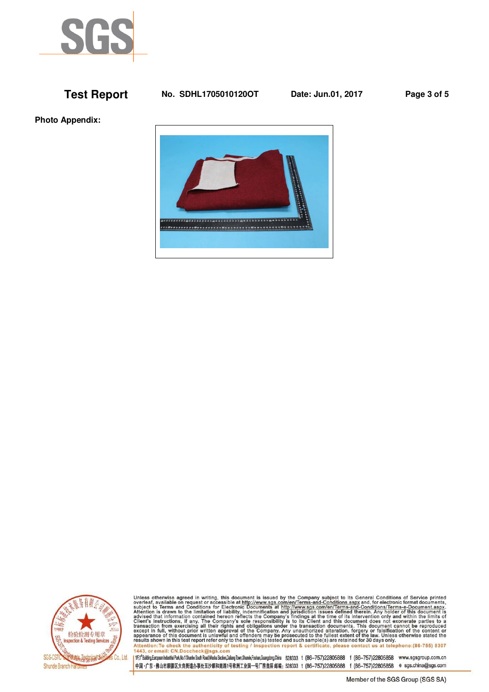

## **Test Report No. SDHL1705010120OT Date: Jun.01, 2017 Page 3 of 5**

**Photo Appendix:** 





Unless otherwise agreed in writing, this document is issued by the Company subject to its General Conditions of Service printed overleaf, available on request or accessible at http://www.sgs.com/en/Terms-and-Conditions.as

1/F;l\*Bulding.European Industrial Park, No.1 Shunte South Road, Wusha Sedion, Dalang Town, Shunde, Foshan, Guangdong, China 526333 t (86-757)22805858 f (86-757)22805858 www.sgsgroup.com.cn 中国·广东·佛山市顺德区大良街道办事处五沙顺和南路1号欧洲工业园一号厂房首层 邮编: 528333 t (86-757)22805888 f (86-757)22805858 e sgs.china@sgs.com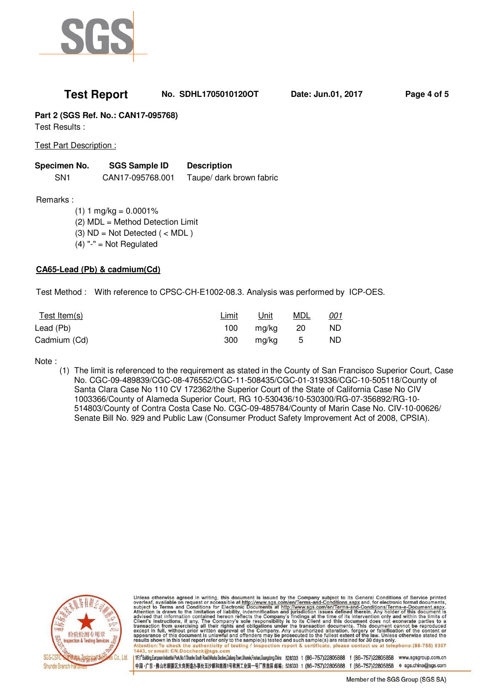

## **Test Report No. SDHL1705010120OT Date: Jun.01, 2017 Page 4 of 5**

**Part 2 (SGS Ref. No.: CAN17-095768)** 

Test Results :

Test Part Description :

| Specimen No.    | <b>SGS Sample ID</b> | <b>Description</b>       |
|-----------------|----------------------|--------------------------|
| SN <sub>1</sub> | CAN17-095768.001     | Taupe/ dark brown fabric |

Remarks :

 $(1) 1 mg/kg = 0.0001%$  (2) MDL = Method Detection Limit (3)  $ND = Not$  Detected  $($  < MDL)  $(4)$  "-" = Not Regulated

### **CA65-Lead (Pb) & cadmium(Cd)**

Test Method : With reference to CPSC-CH-E1002-08.3. Analysis was performed by ICP-OES.

| Test Item(s) | Limit | Unit  | MDL | <u>001</u> |
|--------------|-------|-------|-----|------------|
| Lead (Pb)    | 100   | ma/ka | -20 | ND.        |
| Cadmium (Cd) | 300   | ma/ka | - 5 | ND.        |

Note :

(1) The limit is referenced to the requirement as stated in the County of San Francisco Superior Court, Case No. CGC-09-489839/CGC-08-476552/CGC-11-508435/CGC-01-319336/CGC-10-505118/County of Santa Clara Case No 110 CV 172362/the Superior Court of the State of California Case No CIV 1003366/County of Alameda Superior Court, RG 10-530436/10-530300/RG-07-356892/RG-10- 514803/County of Contra Costa Case No. CGC-09-485784/County of Marin Case No. CIV-10-00626/ Senate Bill No. 929 and Public Law (Consumer Product Safety Improvement Act of 2008, CPSIA).



Unless otherwise agreed in writing, this document is issued by the Company subject to its General Conditions of Service printed overleaf, available on request or accessible at http://www.sgs.com/en/Terms-and-Conditions.as

1F;1<sup>6</sup> Building.European Industrial Park, No.1 Shunhe South Road, Wusha Sedion, Dalang Town, Shunde, Foshan, Guangdong, China 528333 t (86-757)22805858 f (86-757)22805858 www.sgsgroup.com.cn 中国·广东·佛山市顺德区大良街道办事处五沙顺和南路1号欧洲工业园一号厂房首层 邮编: 528333 t (86-757)22805888 f (86-757)22805858 e sgs.china@sgs.com